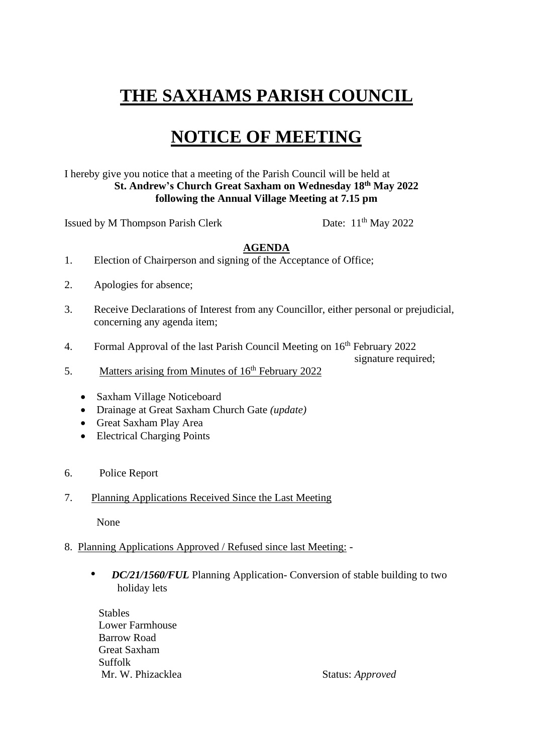## **THE SAXHAMS PARISH COUNCIL**

## **NOTICE OF MEETING**

I hereby give you notice that a meeting of the Parish Council will be held at **St. Andrew's Church Great Saxham on Wednesday 18th May 2022 following the Annual Village Meeting at 7.15 pm**

Issued by M Thompson Parish Clerk

Date:  $11<sup>th</sup>$  May 2022

## **AGENDA**

- 1. Election of Chairperson and signing of the Acceptance of Office;
- 2. Apologies for absence;
- 3. Receive Declarations of Interest from any Councillor, either personal or prejudicial, concerning any agenda item;
- 4. Formal Approval of the last Parish Council Meeting on 16<sup>th</sup> February 2022

signature required:

- 5. Matters arising from Minutes of  $16<sup>th</sup>$  February 2022
	- Saxham Village Noticeboard
	- Drainage at Great Saxham Church Gate *(update)*
	- Great Saxham Play Area
	- Electrical Charging Points
- 6. Police Report
- 7. Planning Applications Received Since the Last Meeting

None

- 8. Planning Applications Approved / Refused since last Meeting:
	- *DC/21/1560/FUL* Planning Application- Conversion of stable building to two holiday lets

 Stables Lower Farmhouse Barrow Road Great Saxham Suffolk Mr. W. Phizacklea Status: *Approved*